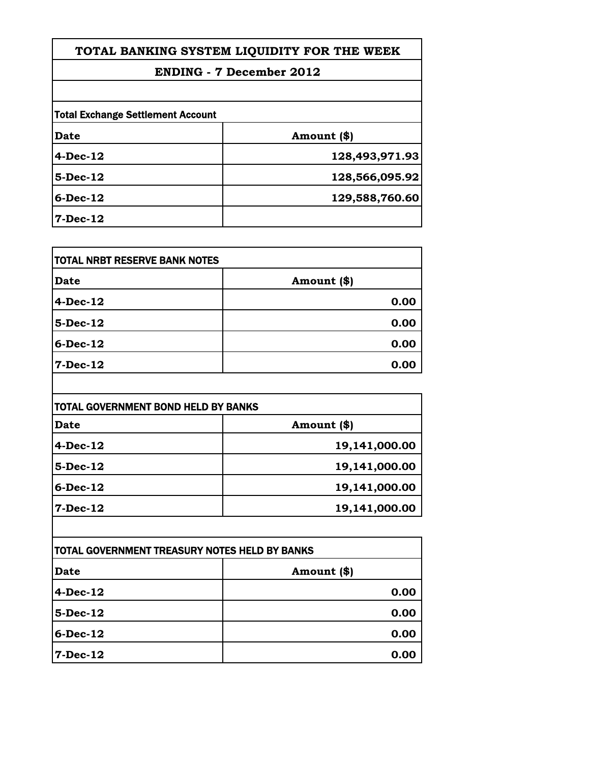## **ENDING - 7 December 2012**

| Date        | Amount (\$)    |
|-------------|----------------|
| $4-Dec-12$  | 128,493,971.93 |
| $5-Dec-12$  | 128,566,095.92 |
| $6$ -Dec-12 | 129,588,760.60 |
| 7-Dec-12    |                |

| <b>TOTAL NRBT RESERVE BANK NOTES</b> |             |
|--------------------------------------|-------------|
| Date                                 | Amount (\$) |
| $4-Dec-12$                           | 0.00        |
| $5$ -Dec-12                          | 0.00        |
| $6$ -Dec-12                          | 0.00        |
| $7 - Dec-12$                         | 0.00        |

| TOTAL GOVERNMENT BOND HELD BY BANKS |               |  |
|-------------------------------------|---------------|--|
| Date                                | Amount (\$)   |  |
| <b>4-Dec-12</b>                     | 19,141,000.00 |  |
| $5$ -Dec-12                         | 19,141,000.00 |  |
| <b>6-Dec-12</b>                     | 19,141,000.00 |  |
| 7-Dec-12                            | 19,141,000.00 |  |

| ITOTAL GOVERNMENT TREASURY NOTES HELD BY BANKS |             |
|------------------------------------------------|-------------|
| <b>Date</b>                                    | Amount (\$) |
| $4-Dec-12$                                     | 0.00        |
| $5$ -Dec-12                                    | 0.00        |
| $6$ -Dec-12                                    | 0.00        |
| 7-Dec-12                                       | 0.00        |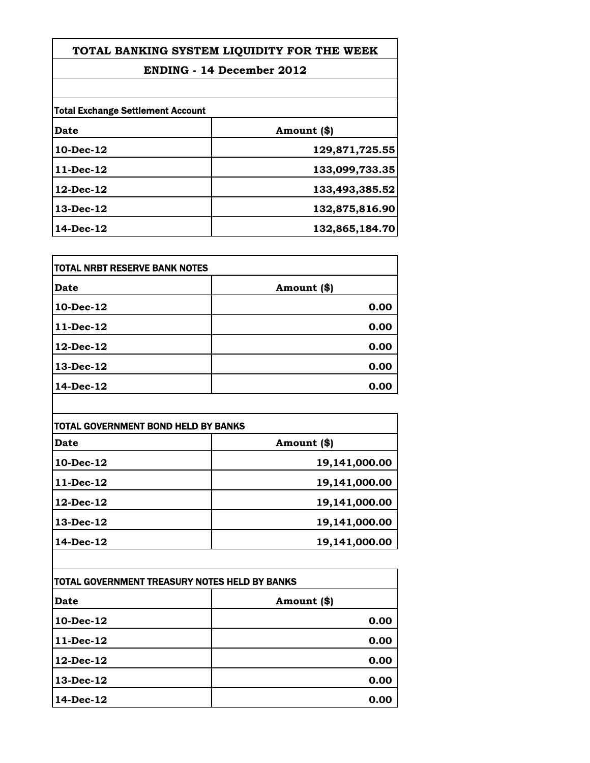## **ENDING - 14 December 2012**

| <b>Total Exchange Settlement Account</b> |                |
|------------------------------------------|----------------|
| Date                                     | Amount (\$)    |
| 10-Dec-12                                | 129,871,725.55 |
| $11-Dec-12$                              | 133,099,733.35 |
| $12$ -Dec- $12$                          | 133,493,385.52 |
| $13$ -Dec- $12$                          | 132,875,816.90 |
| 14-Dec-12                                | 132,865,184.70 |

| TOTAL NRBT RESERVE BANK NOTES |             |
|-------------------------------|-------------|
| Date                          | Amount (\$) |
| 10-Dec-12                     | 0.00        |
| 11-Dec-12                     | 0.00        |
| 12-Dec-12                     | 0.00        |
| 13-Dec-12                     | 0.00        |
| 14-Dec-12                     | 0.00        |

| TOTAL GOVERNMENT BOND HELD BY BANKS |               |
|-------------------------------------|---------------|
| Date                                | Amount (\$)   |
| 10-Dec-12                           | 19,141,000.00 |
| 11-Dec-12                           | 19,141,000.00 |
| 12-Dec-12                           | 19,141,000.00 |
| 13-Dec-12                           | 19,141,000.00 |
| 14-Dec-12                           | 19,141,000.00 |

| TOTAL GOVERNMENT TREASURY NOTES HELD BY BANKS |             |
|-----------------------------------------------|-------------|
| <b>Date</b>                                   | Amount (\$) |
| 10-Dec-12                                     | 0.00        |
| $11$ -Dec-12                                  | 0.00        |
| $12$ -Dec- $12$                               | 0.00        |
| 13-Dec-12                                     | 0.00        |
| 14-Dec-12                                     | 0.00        |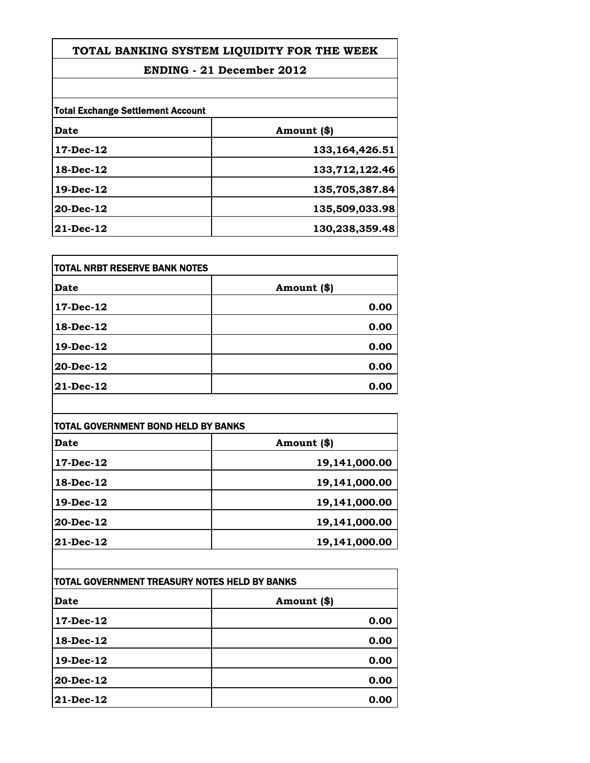## **ENDING - 21 December 2012**

| <b>Total Exchange Settlement Account</b> |                   |
|------------------------------------------|-------------------|
| Date                                     | Amount (\$)       |
| $17-Dec-12$                              | 133, 164, 426. 51 |
| 18-Dec-12                                | 133,712,122.46    |
| 19-Dec-12                                | 135,705,387.84    |
| 20-Dec-12                                | 135,509,033.98    |
| 21-Dec-12                                | 130,238,359.48    |

| TOTAL NRBT RESERVE BANK NOTES |             |
|-------------------------------|-------------|
| Date                          | Amount (\$) |
| 17-Dec-12                     | 0.00        |
| 18-Dec-12                     | 0.00        |
| 19-Dec-12                     | 0.00        |
| 20-Dec-12                     | 0.00        |
| 21-Dec-12                     | 0.00        |

| TOTAL GOVERNMENT BOND HELD BY BANKS |               |
|-------------------------------------|---------------|
| <b>Date</b>                         | Amount (\$)   |
| 17-Dec-12                           | 19,141,000.00 |
| 18-Dec-12                           | 19,141,000.00 |
| 19-Dec-12                           | 19,141,000.00 |
| 20-Dec-12                           | 19,141,000.00 |
| 21-Dec-12                           | 19,141,000.00 |

| TOTAL GOVERNMENT TREASURY NOTES HELD BY BANKS |             |
|-----------------------------------------------|-------------|
| <b>Date</b>                                   | Amount (\$) |
| 17-Dec-12                                     | 0.00        |
| 18-Dec-12                                     | 0.00        |
| 19-Dec-12                                     | 0.00        |
| 20-Dec-12                                     | 0.00        |
| $21$ -Dec-12                                  | 0.00        |